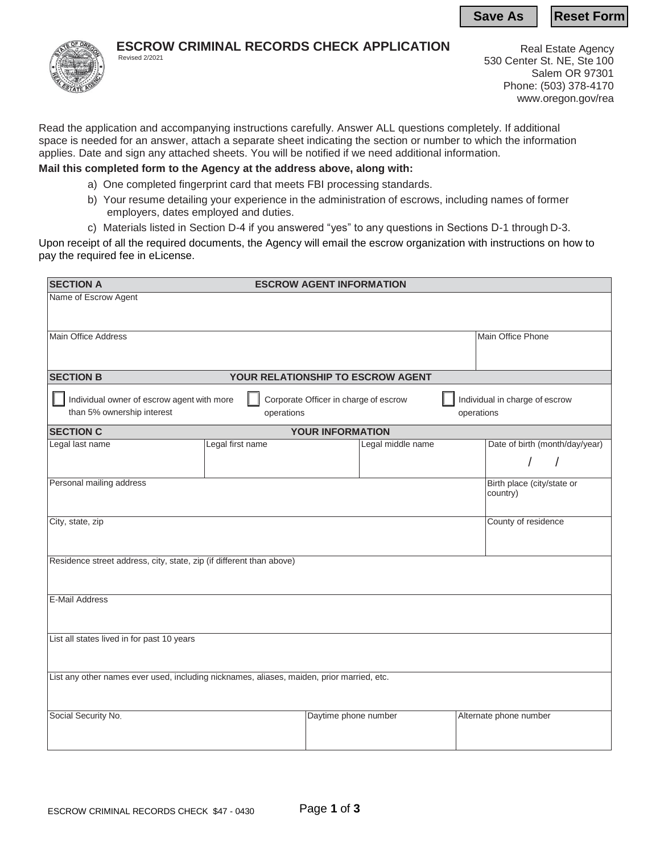**Save As | Reset Form** 



## **ESCROW CRIMINAL RECORDS CHECK APPLICATION**

Revised 2/2021

Real Estate Agency 530 Center St. NE, Ste 100 Salem OR 97301 Phone: (503) 378-4170 [www.oregon.gov/rea](http://www.oregon.gov/rea)

Read the application and accompanying instructions carefully. Answer ALL questions completely. If additional space is needed for an answer, attach a separate sheet indicating the section or number to which the information applies. Date and sign any attached sheets. You will be notified if we need additional information.

### **Mail this completed form to the Agency at the address above, along with:**

- a) One completed fingerprint card that meets FBI processing standards.
- b) Your resume detailing your experience in the administration of escrows, including names of former employers, dates employed and duties.
- c) Materials listed in Section D-4 if you answered "yes" to any questions in Sections D-1 through D-3.

Upon receipt of all the required documents, the Agency will email the escrow organization with instructions on how to pay the required fee in eLicense.

| <b>SECTION A</b><br><b>ESCROW AGENT INFORMATION</b>                                                                                                                             |                  |                         |                   |  |                                        |  |  |
|---------------------------------------------------------------------------------------------------------------------------------------------------------------------------------|------------------|-------------------------|-------------------|--|----------------------------------------|--|--|
| Name of Escrow Agent                                                                                                                                                            |                  |                         |                   |  |                                        |  |  |
|                                                                                                                                                                                 |                  |                         |                   |  |                                        |  |  |
| <b>Main Office Address</b>                                                                                                                                                      |                  |                         |                   |  | Main Office Phone                      |  |  |
|                                                                                                                                                                                 |                  |                         |                   |  |                                        |  |  |
| <b>SECTION B</b><br><b>YOUR RELATIONSHIP TO ESCROW AGENT</b>                                                                                                                    |                  |                         |                   |  |                                        |  |  |
| Individual owner of escrow agent with more<br>Individual in charge of escrow<br>Corporate Officer in charge of escrow<br>than 5% ownership interest<br>operations<br>operations |                  |                         |                   |  |                                        |  |  |
| <b>SECTION C</b>                                                                                                                                                                |                  | <b>YOUR INFORMATION</b> |                   |  |                                        |  |  |
| Legal last name                                                                                                                                                                 | Legal first name |                         | Legal middle name |  | Date of birth (month/day/year)         |  |  |
|                                                                                                                                                                                 |                  |                         |                   |  |                                        |  |  |
| Personal mailing address                                                                                                                                                        |                  |                         |                   |  | Birth place (city/state or<br>country) |  |  |
| City, state, zip                                                                                                                                                                |                  |                         |                   |  | County of residence                    |  |  |
|                                                                                                                                                                                 |                  |                         |                   |  |                                        |  |  |
| Residence street address, city, state, zip (if different than above)                                                                                                            |                  |                         |                   |  |                                        |  |  |
|                                                                                                                                                                                 |                  |                         |                   |  |                                        |  |  |
| <b>E-Mail Address</b>                                                                                                                                                           |                  |                         |                   |  |                                        |  |  |
|                                                                                                                                                                                 |                  |                         |                   |  |                                        |  |  |
| List all states lived in for past 10 years                                                                                                                                      |                  |                         |                   |  |                                        |  |  |
|                                                                                                                                                                                 |                  |                         |                   |  |                                        |  |  |
| List any other names ever used, including nicknames, aliases, maiden, prior married, etc.                                                                                       |                  |                         |                   |  |                                        |  |  |
|                                                                                                                                                                                 |                  |                         |                   |  |                                        |  |  |
| Social Security No.                                                                                                                                                             |                  | Daytime phone number    |                   |  | Alternate phone number                 |  |  |
|                                                                                                                                                                                 |                  |                         |                   |  |                                        |  |  |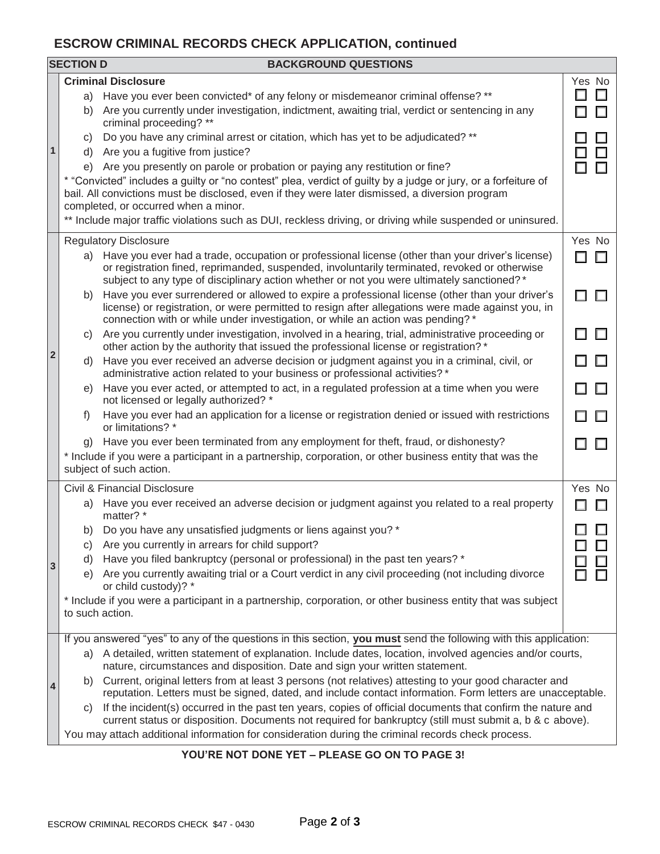# **ESCROW CRIMINAL RECORDS CHECK APPLICATION, continued**

|              | <b>SECTION D</b>                                                                                                                                                                                                                                          | <b>BACKGROUND QUESTIONS</b>                                                                                                                                                                                                                                                                      |             |  |  |  |
|--------------|-----------------------------------------------------------------------------------------------------------------------------------------------------------------------------------------------------------------------------------------------------------|--------------------------------------------------------------------------------------------------------------------------------------------------------------------------------------------------------------------------------------------------------------------------------------------------|-------------|--|--|--|
| 1            |                                                                                                                                                                                                                                                           | <b>Criminal Disclosure</b>                                                                                                                                                                                                                                                                       | Yes No      |  |  |  |
|              |                                                                                                                                                                                                                                                           | a) Have you ever been convicted* of any felony or misdemeanor criminal offense? **                                                                                                                                                                                                               |             |  |  |  |
|              |                                                                                                                                                                                                                                                           | b) Are you currently under investigation, indictment, awaiting trial, verdict or sentencing in any<br>criminal proceeding? **                                                                                                                                                                    |             |  |  |  |
|              | C)                                                                                                                                                                                                                                                        | Do you have any criminal arrest or citation, which has yet to be adjudicated? **<br>d) Are you a fugitive from justice?                                                                                                                                                                          | П           |  |  |  |
|              | e) Are you presently on parole or probation or paying any restitution or fine?                                                                                                                                                                            |                                                                                                                                                                                                                                                                                                  |             |  |  |  |
|              | * "Convicted" includes a guilty or "no contest" plea, verdict of guilty by a judge or jury, or a forfeiture of<br>bail. All convictions must be disclosed, even if they were later dismissed, a diversion program<br>completed, or occurred when a minor. |                                                                                                                                                                                                                                                                                                  |             |  |  |  |
|              | ** Include major traffic violations such as DUI, reckless driving, or driving while suspended or uninsured.                                                                                                                                               |                                                                                                                                                                                                                                                                                                  |             |  |  |  |
| $\mathbf{2}$ | <b>Regulatory Disclosure</b>                                                                                                                                                                                                                              |                                                                                                                                                                                                                                                                                                  |             |  |  |  |
|              | a)                                                                                                                                                                                                                                                        | Have you ever had a trade, occupation or professional license (other than your driver's license)<br>or registration fined, reprimanded, suspended, involuntarily terminated, revoked or otherwise<br>subject to any type of disciplinary action whether or not you were ultimately sanctioned? * | $\Box$<br>П |  |  |  |
|              | b)                                                                                                                                                                                                                                                        | Have you ever surrendered or allowed to expire a professional license (other than your driver's<br>license) or registration, or were permitted to resign after allegations were made against you, in<br>connection with or while under investigation, or while an action was pending? *          |             |  |  |  |
|              | C)                                                                                                                                                                                                                                                        | Are you currently under investigation, involved in a hearing, trial, administrative proceeding or<br>other action by the authority that issued the professional license or registration? *                                                                                                       | П.          |  |  |  |
|              | d)                                                                                                                                                                                                                                                        | Have you ever received an adverse decision or judgment against you in a criminal, civil, or<br>administrative action related to your business or professional activities? *                                                                                                                      |             |  |  |  |
|              | e)                                                                                                                                                                                                                                                        | Have you ever acted, or attempted to act, in a regulated profession at a time when you were<br>not licensed or legally authorized? *                                                                                                                                                             |             |  |  |  |
|              | f                                                                                                                                                                                                                                                         | Have you ever had an application for a license or registration denied or issued with restrictions<br>or limitations? *                                                                                                                                                                           |             |  |  |  |
|              |                                                                                                                                                                                                                                                           | g) Have you ever been terminated from any employment for theft, fraud, or dishonesty?                                                                                                                                                                                                            |             |  |  |  |
|              | * Include if you were a participant in a partnership, corporation, or other business entity that was the<br>subject of such action.                                                                                                                       |                                                                                                                                                                                                                                                                                                  |             |  |  |  |
|              |                                                                                                                                                                                                                                                           | Civil & Financial Disclosure                                                                                                                                                                                                                                                                     | Yes No      |  |  |  |
|              |                                                                                                                                                                                                                                                           | a) Have you ever received an adverse decision or judgment against you related to a real property<br>matter? *                                                                                                                                                                                    |             |  |  |  |
|              | C)                                                                                                                                                                                                                                                        | b) Do you have any unsatisfied judgments or liens against you? *<br>Are you currently in arrears for child support?                                                                                                                                                                              |             |  |  |  |
| 3            | d)                                                                                                                                                                                                                                                        | Have you filed bankruptcy (personal or professional) in the past ten years? *                                                                                                                                                                                                                    |             |  |  |  |
|              | e)                                                                                                                                                                                                                                                        | Are you currently awaiting trial or a Court verdict in any civil proceeding (not including divorce<br>or child custody)? *                                                                                                                                                                       |             |  |  |  |
|              | * Include if you were a participant in a partnership, corporation, or other business entity that was subject<br>to such action.                                                                                                                           |                                                                                                                                                                                                                                                                                                  |             |  |  |  |
| 4            | If you answered "yes" to any of the questions in this section, you must send the following with this application:                                                                                                                                         |                                                                                                                                                                                                                                                                                                  |             |  |  |  |
|              | a) A detailed, written statement of explanation. Include dates, location, involved agencies and/or courts,<br>nature, circumstances and disposition. Date and sign your written statement.                                                                |                                                                                                                                                                                                                                                                                                  |             |  |  |  |
|              | b) Current, original letters from at least 3 persons (not relatives) attesting to your good character and<br>reputation. Letters must be signed, dated, and include contact information. Form letters are unacceptable.                                   |                                                                                                                                                                                                                                                                                                  |             |  |  |  |
|              | If the incident(s) occurred in the past ten years, copies of official documents that confirm the nature and<br>C)<br>current status or disposition. Documents not required for bankruptcy (still must submit a, b & c above).                             |                                                                                                                                                                                                                                                                                                  |             |  |  |  |
|              | You may attach additional information for consideration during the criminal records check process.                                                                                                                                                        |                                                                                                                                                                                                                                                                                                  |             |  |  |  |
|              |                                                                                                                                                                                                                                                           | YOU'RE NOT DONE YET - PLEASE GO ON TO PAGE 3!                                                                                                                                                                                                                                                    |             |  |  |  |